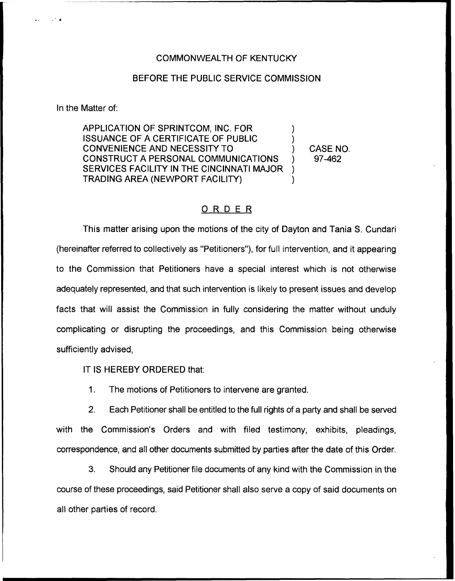## COMMONWEALTH OF KENTUCKY

## BEFORE THE PUBLIC SERVICE COMMISSION

In the Matter of:

APPLICATION OF SPRINTCOM, INC. FOR ) ISSUANCE OF A CERTIFICATE OF PUBLIC ) CONVENIENCE AND NECESSITY TO ) CONSTRUCT A PERSONAL COMMUNICATIONS ) SERVICES FACILITY IN THE CINCINNATI MAJOR ) TRADING AREA (NEWPORT FACILITY) )

CASE NO. 97-462

## ORDER

This matter arising upon the motions of the city of Dayton and Tania S. Cundari (hereinafter referred to collectively as "Petitioners"), for full intervention, and it appearing to the Commission that Petitioners have a special interest which is not otherwise adequately represented, and that such intervention is likely to present issues and develop facts that will assist the Commission in fully considering the matter without unduly complicating or disrupting the proceedings, and this Commission being otherwise sufficiently advised,

IT IS HEREBY ORDERED that:

1. The motions of Petitioners to intervene are granted.

2. Each Petitioner shall be entitled to the full rights of a party and shall be served with the Commission's Orders and with filed testimony, exhibits, pleadings, correspondence, and all other documents submitted by parties after the date of this Order.

3. Should any Petitioner file documents of any kind with the Commission in the course of these proceedings, said Petitioner shall also serve a copy of said documents on all other parties of record.